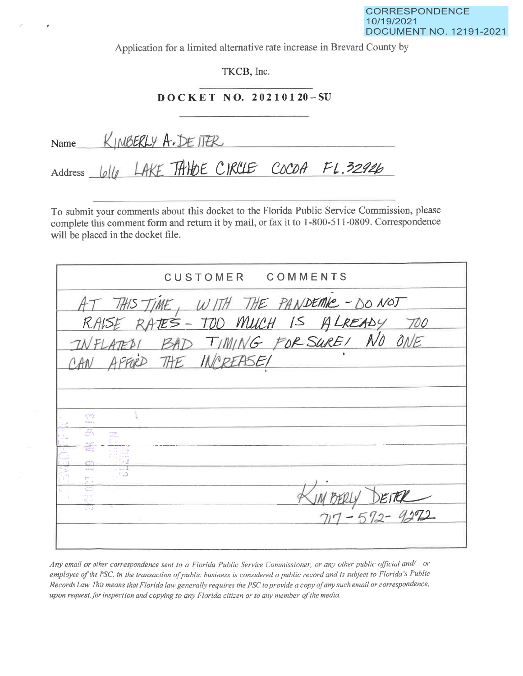Application for a limited alternative rate increase in Brevard County by

TKCB, Inc.

## DOCKET NO. 20210120-SU

Name KINBERLY A. DE ITER Address <u>WILL</u> LAKE TAHOE CIRCLE COCOA FL.32926

To submit your comments about this docket to the Florida Public Service Commission, please complete this comment form and return it by mail, or fax it to 1-800-511-0809. Correspondence will be placed in the docket file.

| CUSTOMER COMMENTS                                                                                                                                                                                        |  |
|----------------------------------------------------------------------------------------------------------------------------------------------------------------------------------------------------------|--|
| AT THIS TIME, WITH THE PANDEMIC - DO NOT<br>RAISE RATES - TOO MUCH IS ALREADY TOO<br>INFLATED BAD TIMING FOR SURE! NO ONE                                                                                |  |
| 479                                                                                                                                                                                                      |  |
| <b>Right</b><br>$\mathbb{C}^*$<br>an anggot<br>san Tina<br>÷.<br><b>Editoria</b><br>ం                                                                                                                    |  |
| ببرموج<br>$MBEky$ DETER<br><b>CONTRACTOR</b><br>$\frac{\mathcal{C}_{\text{int}}^{\text{out}}\left(\mathcal{C}_{\text{int}}\right)}{\mathcal{C}_{\text{int}}^{\text{out}}$<br>$\mathbb{C}^{n+1}_{\geq 0}$ |  |

Any email or other correspondence sent to a Florida Public Service Commissioner, or any other public official and/ or employee of the PSC, in the transaction of public business is considered a public record and is subject to Florida's Public Records Law. This means that Florida law generally requires the PSC to provide a copy of any such email or correspondence, upon request, for inspection and copying to any Florida citizen or to any member of the media.